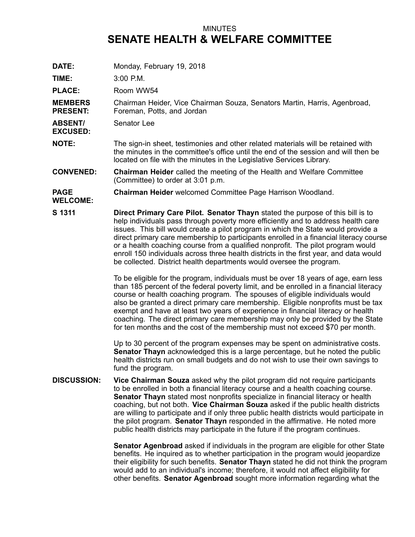## MINUTES **SENATE HEALTH & WELFARE COMMITTEE**

**DATE:** Monday, February 19, 2018

**TIME:** 3:00 P.M.

PLACE: Room WW54

**MEMBERS PRESENT:** Chairman Heider, Vice Chairman Souza, Senators Martin, Harris, Agenbroad, Foreman, Potts, and Jordan

**ABSENT/** Senator Lee

**EXCUSED:**

**NOTE:** The sign-in sheet, testimonies and other related materials will be retained with the minutes in the committee's office until the end of the session and will then be located on file with the minutes in the Legislative Services Library.

**CONVENED: Chairman Heider** called the meeting of the Health and Welfare Committee (Committee) to order at 3:01 p.m.

## **PAGE Chairman Heider** welcomed Committee Page Harrison Woodland.

**WELCOME:**

**S 1311 Direct Primary Care Pilot. Senator Thayn** stated the purpose of this bill is to help individuals pass through poverty more efficiently and to address health care issues. This bill would create <sup>a</sup> pilot program in which the State would provide <sup>a</sup> direct primary care membership to participants enrolled in <sup>a</sup> financial literacy course or <sup>a</sup> health coaching course from <sup>a</sup> qualified nonprofit. The pilot program would enroll 150 individuals across three health districts in the first year, and data would be collected. District health departments would oversee the program.

> To be eligible for the program, individuals must be over 18 years of age, earn less than 185 percent of the federal poverty limit, and be enrolled in <sup>a</sup> financial literacy course or health coaching program. The spouses of eligible individuals would also be granted <sup>a</sup> direct primary care membership. Eligible nonprofits must be tax exempt and have at least two years of experience in financial literacy or health coaching. The direct primary care membership may only be provided by the State for ten months and the cost of the membership must not exceed \$70 per month.

Up to 30 percent of the program expenses may be spent on administrative costs. **Senator Thayn** acknowledged this is <sup>a</sup> large percentage, but he noted the public health districts run on small budgets and do not wish to use their own savings to fund the program.

**DISCUSSION: Vice Chairman Souza** asked why the pilot program did not require participants to be enrolled in both <sup>a</sup> financial literacy course and <sup>a</sup> health coaching course. **Senator Thayn** stated most nonprofits specialize in financial literacy or health coaching, but not both. **Vice Chairman Souza** asked if the public health districts are willing to participate and if only three public health districts would participate in the pilot program. **Senator Thayn** responded in the affirmative. He noted more public health districts may participate in the future if the program continues.

> **Senator Agenbroad** asked if individuals in the program are eligible for other State benefits. He inquired as to whether participation in the program would jeopardize their eligibility for such benefits. **Senator Thayn** stated he did not think the program would add to an individual's income; therefore, it would not affect eligibility for other benefits. **Senator Agenbroad** sought more information regarding what the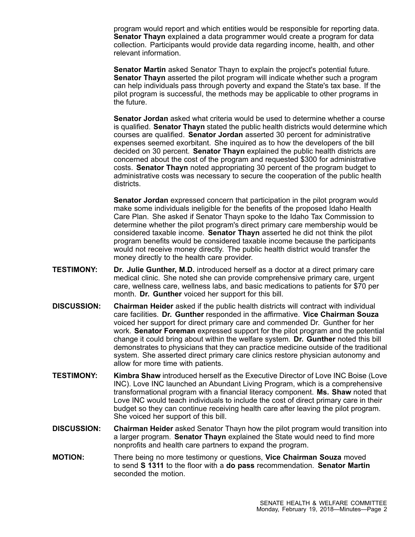program would report and which entities would be responsible for reporting data. **Senator Thayn** explained <sup>a</sup> data programmer would create <sup>a</sup> program for data collection. Participants would provide data regarding income, health, and other relevant information.

**Senator Martin** asked Senator Thayn to explain the project's potential future. **Senator Thayn** asserted the pilot program will indicate whether such <sup>a</sup> program can help individuals pass through poverty and expand the State's tax base. If the pilot program is successful, the methods may be applicable to other programs in the future.

**Senator Jordan** asked what criteria would be used to determine whether a course is qualified. **Senator Thayn** stated the public health districts would determine which courses are qualified. **Senator Jordan** asserted 30 percent for administrative expenses seemed exorbitant. She inquired as to how the developers of the bill decided on 30 percent. **Senator Thayn** explained the public health districts are concerned about the cost of the program and requested \$300 for administrative costs. **Senator Thayn** noted appropriating 30 percent of the program budget to administrative costs was necessary to secure the cooperation of the public health districts.

**Senator Jordan** expressed concern that participation in the pilot program would make some individuals ineligible for the benefits of the proposed Idaho Health Care Plan. She asked if Senator Thayn spoke to the Idaho Tax Commission to determine whether the pilot program's direct primary care membership would be considered taxable income. **Senator Thayn** asserted he did not think the pilot program benefits would be considered taxable income because the participants would not receive money directly. The public health district would transfer the money directly to the health care provider.

- **TESTIMONY: Dr. Julie Gunther, M.D.** introduced herself as <sup>a</sup> doctor at <sup>a</sup> direct primary care medical clinic. She noted she can provide comprehensive primary care, urgent care, wellness care, wellness labs, and basic medications to patients for \$70 per month. **Dr. Gunther** voiced her support for this bill.
- **DISCUSSION: Chairman Heider** asked if the public health districts will contract with individual care facilities. **Dr. Gunther** responded in the affirmative. **Vice Chairman Souza** voiced her support for direct primary care and commended Dr. Gunther for her work. **Senator Foreman** expressed support for the pilot program and the potential change it could bring about within the welfare system. **Dr. Gunther** noted this bill demonstrates to physicians that they can practice medicine outside of the traditional system. She asserted direct primary care clinics restore physician autonomy and allow for more time with patients.
- **TESTIMONY: Kimbra Shaw** introduced herself as the Executive Director of Love INC Boise (Love INC). Love INC launched an Abundant Living Program, which is <sup>a</sup> comprehensive transformational program with <sup>a</sup> financial literacy component. **Ms. Shaw** noted that Love INC would teach individuals to include the cost of direct primary care in their budget so they can continue receiving health care after leaving the pilot program. She voiced her support of this bill.
- **DISCUSSION: Chairman Heider** asked Senator Thayn how the pilot program would transition into <sup>a</sup> larger program. **Senator Thayn** explained the State would need to find more nonprofits and health care partners to expand the program.
- **MOTION:** There being no more testimony or questions, **Vice Chairman Souza** moved to send **S 1311** to the floor with <sup>a</sup> **do pass** recommendation. **Senator Martin** seconded the motion.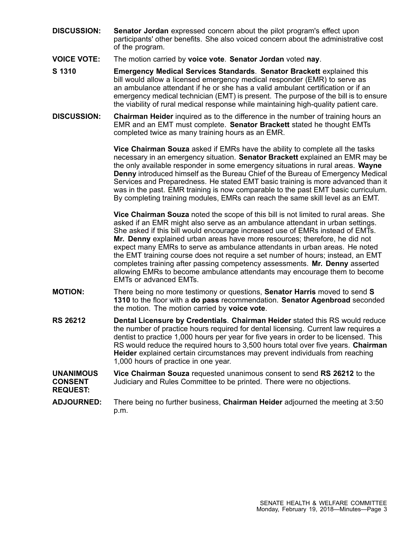- **DISCUSSION: Senator Jordan** expressed concern about the pilot program's effect upon participants' other benefits. She also voiced concern about the administrative cost of the program.
- **VOICE VOTE:** The motion carried by **voice vote**. **Senator Jordan** voted **nay**.
- **S 1310 Emergency Medical Services Standards**. **Senator Brackett** explained this bill would allow <sup>a</sup> licensed emergency medical responder (EMR) to serve as an ambulance attendant if he or she has a valid ambulant certification or if an emergency medical technician (EMT) is present. The purpose of the bill is to ensure the viability of rural medical response while maintaining high-quality patient care.
- **DISCUSSION: Chairman Heider** inquired as to the difference in the number of training hours an EMR and an EMT must complete. **Senator Brackett** stated he thought EMTs completed twice as many training hours as an EMR.

**Vice Chairman Souza** asked if EMRs have the ability to complete all the tasks necessary in an emergency situation. **Senator Brackett** explained an EMR may be the only available responder in some emergency situations in rural areas. **Wayne Denny** introduced himself as the Bureau Chief of the Bureau of Emergency Medical Services and Preparedness. He stated EMT basic training is more advanced than it was in the past. EMR training is now comparable to the past EMT basic curriculum. By completing training modules, EMRs can reach the same skill level as an EMT.

**Vice Chairman Souza** noted the scope of this bill is not limited to rural areas. She asked if an EMR might also serve as an ambulance attendant in urban settings. She asked if this bill would encourage increased use of EMRs instead of EMTs. **Mr. Denny** explained urban areas have more resources; therefore, he did not expect many EMRs to serve as ambulance attendants in urban areas. He noted the EMT training course does not require <sup>a</sup> set number of hours; instead, an EMT completes training after passing competency assessments. **Mr. Denny** asserted allowing EMRs to become ambulance attendants may encourage them to become EMTs or advanced EMTs.

- **MOTION:** There being no more testimony or questions, **Senator Harris** moved to send **S 1310** to the floor with <sup>a</sup> **do pass** recommendation. **Senator Agenbroad** seconded the motion. The motion carried by **voice vote**.
- **RS 26212 Dental Licensure by Credentials**. **Chairman Heider** stated this RS would reduce the number of practice hours required for dental licensing. Current law requires <sup>a</sup> dentist to practice 1,000 hours per year for five years in order to be licensed. This RS would reduce the required hours to 3,500 hours total over five years. **Chairman Heider** explained certain circumstances may prevent individuals from reaching 1,000 hours of practice in one year.

## **UNANIMOUS CONSENT REQUEST: Vice Chairman Souza** requested unanimous consent to send **RS 26212** to the Judiciary and Rules Committee to be printed. There were no objections.

**ADJOURNED:** There being no further business, **Chairman Heider** adjourned the meeting at 3:50 p.m.